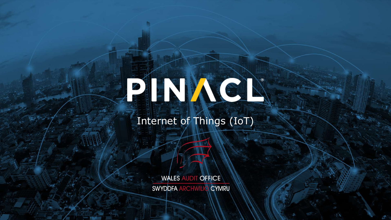# FINNEN

#### Internet of Things (IoT)

**WALES AUDIT OFFICE** SWYDDFA ARCHWILIO CYMRU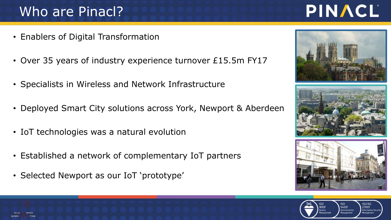## Who are Pinacl?

- Enablers of Digital Transformation
- Over 35 years of industry experience turnover £15.5m FY17
- Specialists in Wireless and Network Infrastructure
- Deployed Smart City solutions across York, Newport & Aberdeen
- IoT technologies was a natural evolution
- Established a network of complementary IoT partners
- Selected Newport as our IoT 'prototype'











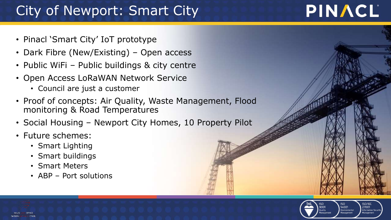## City of Newport: Smart City

- Pinacl 'Smart City' IoT prototype
- Dark Fibre (New/Existing) Open access
- Public WiFi Public buildings & city centre
- Open Access LoRaWAN Network Service
	- Council are just a customer
- Proof of concepts: Air Quality, Waste Management, Flood monitoring & Road Temperatures
- Social Housing Newport City Homes, 10 Property Pilot
- Future schemes:
	- Smart Lighting
	- Smart buildings
	- Smart Meters
	- ABP Port solutions



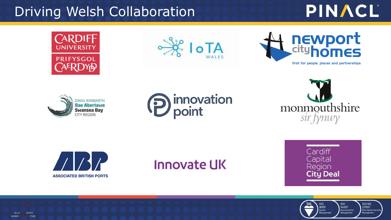#### Driving Welsh Collaboration

## PINACL















## **Innovate UK**





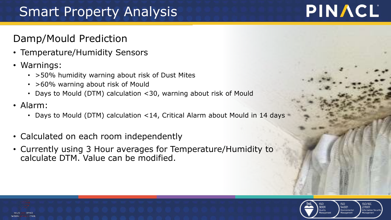## Smart Property Analysis

#### Damp/Mould Prediction

- Temperature/Humidity Sensors
- Warnings:
	- >50% humidity warning about risk of Dust Mites
	- >60% warning about risk of Mould
	- Days to Mould (DTM) calculation <30, warning about risk of Mould
- Alarm:
	- Days to Mould (DTM) calculation <14, Critical Alarm about Mould in 14 days
- Calculated on each room independently
- Currently using 3 Hour averages for Temperature/Humidity to calculate DTM. Value can be modified.



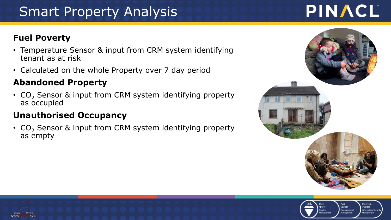## Smart Property Analysis

#### **Fuel Poverty**

- Temperature Sensor & input from CRM system identifying tenant as at risk
- Calculated on the whole Property over 7 day period

#### **Abandoned Property**

•  $CO<sub>2</sub>$  Sensor & input from CRM system identifying property as occupied

#### **Unauthorised Occupancy**

•  $CO<sub>2</sub>$  Sensor & input from CRM system identifying property as empty



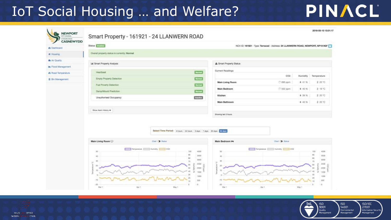### IoT Social Housing ... and Welfare?

| NEWPORT<br><b>CYNSOR DRUM</b> |                                              | Smart Property - 161921 - 24 LLANWERN ROAD                                                                                    |                                            |                                                                                |               | 2018-05-10 13:31:17                                                                                             |
|-------------------------------|----------------------------------------------|-------------------------------------------------------------------------------------------------------------------------------|--------------------------------------------|--------------------------------------------------------------------------------|---------------|-----------------------------------------------------------------------------------------------------------------|
| <b>CASNEWYDD</b>              | Status: Ecolog                               |                                                                                                                               |                                            | NCH (D: 161921 - Type: Terraced - Address: 24 LLANWERN ROAD, NEWPORT, NP19 9GF |               |                                                                                                                 |
| <b>&amp; Dashboard</b>        | Overall property status is currently: Normal |                                                                                                                               |                                            |                                                                                |               |                                                                                                                 |
| # Housing                     |                                              |                                                                                                                               |                                            |                                                                                |               |                                                                                                                 |
| & Air Quality                 | lail Smart Property Analysis                 |                                                                                                                               | A Smart Property Status                    |                                                                                |               |                                                                                                                 |
| <b>In Flood Management</b>    |                                              |                                                                                                                               | Current Readings                           |                                                                                |               |                                                                                                                 |
| A Road Temperature            | Heartboat                                    | <b>homat</b>                                                                                                                  |                                            | CO2                                                                            | Humidity      | Temperature                                                                                                     |
| <b>自 Bin Management</b>       | Empty Property Detection                     | Romal                                                                                                                         |                                            |                                                                                | 0.45%         | 2 20 °C                                                                                                         |
|                               | Fuel Poverty Detection                       | <b>Normal</b>                                                                                                                 | Main Living Room                           | C: 695 ppm                                                                     |               |                                                                                                                 |
|                               | Damp/Mould Prediction                        | <b>Romal</b>                                                                                                                  | Main Bedroom                               | (3.552 ppm)                                                                    | <b>6 40 %</b> | 2 19 °C                                                                                                         |
|                               | Unauthorised Occupancy                       | Inactive                                                                                                                      | Kitchen                                    |                                                                                | 4.39%         | # 20 ℃                                                                                                          |
|                               |                                              |                                                                                                                               | Main Bathroom                              |                                                                                | 4 40.%        | 2 20 °C                                                                                                         |
|                               | Show Alarm History on                        |                                                                                                                               |                                            |                                                                                |               |                                                                                                                 |
|                               |                                              |                                                                                                                               | Showing leat 3 Nours.                      |                                                                                |               |                                                                                                                 |
|                               | Main Living Room                             | Select Time Period:   6 hours   24 hours   3 days   7 days   30 days   50 days<br>Chart. (3) Status                           | Main Bedroom Im                            | Chart C Status                                                                 |               |                                                                                                                 |
|                               | 50<br>40<br>$30$<br>u<br>20<br>TD            | Temperature   Humidity   CO2<br>100<br>4000<br>30<br>3500<br>80<br>3000<br>70<br>2500<br>3000<br>-sit<br>1508<br><b>TIERS</b> | $50 -$<br>AD.<br>101<br>$\Box$<br>20<br>10 | Temperature Humidity [   CO2                                                   |               | 100<br>4000<br>90<br>7500<br>60<br>3000<br>70<br>2900<br>10<br>10000<br><b>BO</b><br>40<br>1000<br>30<br>$+000$ |

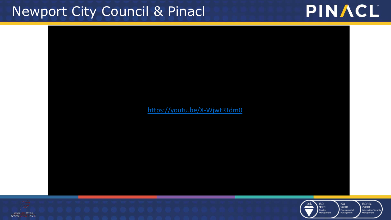### Newport City Council & Pinacl



#### https://youtu.be/X-WjwtRTdm0